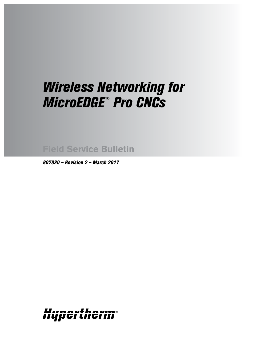# *Wireless Networking for MicroEDGE ® Pro CNCs*

**Field Service Bulletin**

*807320 – Revision 2 – March 2017*

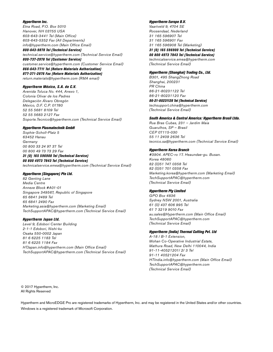## *Hypertherm Inc.*

Etna Road, P.O. Box 5010 Hanover, NH 03755 USA 603-643-3441 Tel (Main Office) 603-643-5352 Fax (All Departments) info@hypertherm.com (Main Office Email)

*800-643-9878 Tel (Technical Service)* technical.service@hypertherm.com (Technical Service Email) *800-737-2978 Tel (Customer Service)* customer.service@hypertherm.com (Customer Service Email) *866-643-7711 Tel (Return Materials Authorization) 877-371-2876 Fax (Return Materials Authorization)* return.materials@hypertherm.com (RMA email)

## *Hypertherm México, S.A. de C.V.*

Avenida Toluca No. 444, Anexo 1, Colonia Olivar de los Padres Delegación Álvaro Obregón México, D.F. C.P. 01780 52 55 5681 8109 Tel 52 55 5683 2127 Fax Soporte.Tecnico@hypertherm.com (Technical Service Email)

#### *Hypertherm Plasmatechnik GmbH*

Sophie-Scholl-Platz 5 63452 Hanau **Germany** 00 800 33 24 97 37 Tel 00 800 49 73 73 29 Fax

#### *31 (0) 165 596900 Tel (Technical Service) 00 800 4973 7843 Tel (Technical Service)*

technicalservice.emea@hypertherm.com (Technical Service Email)

## *Hypertherm (Singapore) Pte Ltd.*

82 Genting Lane Media Centre Annexe Block #A01-01 Singapore 349567, Republic of Singapore 65 6841 2489 Tel 65 6841 2490 Fax Marketing.asia@hypertherm.com (Marketing Email) TechSupportAPAC@hypertherm.com (Technical Service Email)

#### *Hypertherm Japan Ltd.*

Level 9, Edobori Center Building 2-1-1 Edobori, Nishi-ku Osaka 550-0002 Japan 81 6 6225 1183 Tel 81 6 6225 1184 Fax HTJapan.info@hypertherm.com (Main Office Email) TechSupportAPAC@hypertherm.com (Technical Service Email)

## *Hypertherm Europe B.V.*

Vaartveld 9, 4704 SE Roosendaal, Nederland 31 165 596907 Tel 31 165 596901 Fax 31 165 596908 Tel (Marketing) *31 (0) 165 596900 Tel (Technical Service) 00 800 4973 7843 Tel (Technical Service)*

technicalservice.emea@hypertherm.com (Technical Service Email)

## *Hypertherm (Shanghai) Trading Co., Ltd.*

B301, 495 ShangZhong Road Shanghai, 200231 PR China 86-21-80231122 Tel 86-21-80231120 Fax

*86-21-80231128 Tel (Technical Service)*

techsupport.china@hypertherm.com (Technical Service Email)

#### *South America & Central America: Hypertherm Brasil Ltda.*

Rua Bras Cubas, 231 – Jardim Maia Guarulhos, SP – Brasil CEP 07115-030 55 11 2409 2636 Tel tecnico.sa@hypertherm.com (Technical Service Email)

#### *Hypertherm Korea Branch*

#3904. APEC-ro 17. Heaundae-gu. Busan. Korea 48060 82 (0)51 747 0358 Tel 82 (0)51 701 0358 Fax Marketing.korea@hypertherm.com (Marketing Email) TechSupportAPAC@hypertherm.com (Technical Service Email)

## *Hypertherm Pty Limited*

GPO Box 4836 Sydney NSW 2001, Australia 61 (0) 437 606 995 Tel 61 7 3219 9010 Fax au.sales@Hypertherm.com (Main Office Email) TechSupportAPAC@hypertherm.com (Technical Service Email)

### *Hypertherm (India) Thermal Cutting Pvt. Ltd*

A-18 / B-1 Extension, Mohan Co-Operative Industrial Estate, Mathura Road, New Delhi 110044, India 91-11-40521201/ 2/ 3 Tel 91-11 40521204 Fax HTIndia.info@hypertherm.com (Main Office Email) TechSupportAPAC@hypertherm.com (Technical Service Email)

© 2017 Hypertherm, Inc. All Rights Reserved

Hypertherm and MicroEDGE Pro are registered trademarks of Hypertherm, Inc. and may be registered in the United States and/or other countries. Windows is a registered trademark of Microsoft Corporation.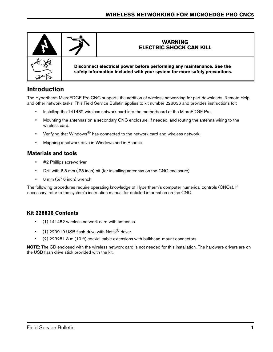

# **Introduction**

The Hypertherm MicroEDGE Pro CNC supports the addition of wireless networking for part downloads, Remote Help, and other network tasks. This Field Service Bulletin applies to kit number 228836 and provides instructions for:

- Installing the 141482 wireless network card into the motherboard of the MicroEDGE Pro.
- Mounting the antennas on a secondary CNC enclosure, if needed, and routing the antenna wiring to the wireless card.
- Verifying that Windows $^{\circledR}$  has connected to the network card and wireless network.
- Mapping a network drive in Windows and in Phoenix.

## **Materials and tools**

- #2 Phillips screwdriver
- Drill with 6.5 mm (.25 inch) bit (for installing antennas on the CNC enclosure)
- 8 mm (5/16 inch) wrench

The following procedures require operating knowledge of Hypertherm's computer numerical controls (CNCs). If necessary, refer to the system's instruction manual for detailed information on the CNC.

## **Kit 228836 Contents**

- (1) 141482 wireless network card with antennas.
- (1) 229919 USB flash drive with Netis $^{\circledR}$  driver.
- (2) 223251 3 m (10 ft) coaxial cable extensions with bulkhead-mount connectors.

**NOTE:** The CD enclosed with the wireless network card is not needed for this installation. The hardware drivers are on the USB flash drive stick provided with the kit.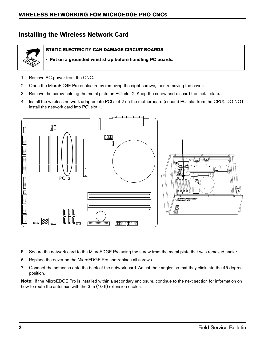# **Installing the Wireless Network Card**



**STATIC ELECTRICITY CAN DAMAGE CIRCUIT BOARDS**

**• Put on a grounded wrist strap before handling PC boards.**

- 1. Remove AC power from the CNC.
- 2. Open the MicroEDGE Pro enclosure by removing the eight screws, then removing the cover.
- 3. Remove the screw holding the metal plate on PCI slot 2. Keep the screw and discard the metal plate.
- 4. Install the wireless network adapter into PCI slot 2 on the motherboard (second PCI slot from the CPU). DO NOT install the network card into PCI slot 1.



- 5. Secure the network card to the MicroEDGE Pro using the screw from the metal plate that was removed earlier.
- 6. Replace the cover on the MicroEDGE Pro and replace all screws.
- 7. Connect the antennas onto the back of the network card. Adjust their angles so that they click into the 45 degree position.

**Note**: If the MicroEDGE Pro is installed within a secondary enclosure, continue to the next section for information on how to route the antennas with the 3 m (10 ft) extension cables.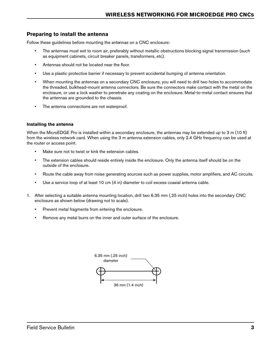## **Preparing to install the antenna**

Follow these guidelines before mounting the antennas on a CNC enclosure:

- The antennas must exit to room air, preferably without metallic obstructions blocking signal transmission (such as equipment cabinets, circuit breaker panels, transformers, etc).
- Antennas should not be located near the floor.
- Use a plastic protective barrier if necessary to prevent accidental bumping of antenna orientation.
- When mounting the antennas on a secondary CNC enclosure, you will need to drill two holes to accommodate the threaded, bulkhead-mount antenna connectors. Be sure the connectors make contact with the metal on the enclosure, or use a lock washer to penetrate any coating on the enclosure. Metal-to-metal contact ensures that the antennas are grounded to the chassis.
- The antenna connections are not waterproof.

## **Installing the antenna**

When the MicroEDGE Pro is installed within a secondary enclosure, the antennas may be extended up to 3 m (10 ft) from the wireless network card. When using the 3 m antenna extension cables, only 2.4 GHz frequency can be used at the router or access point.

- Make sure not to twist or kink the extension cables.
- The extension cables should reside entirely inside the enclosure. Only the antenna itself should be on the outside of the enclosure.
- Route the cable away from noise generating sources such as power supplies, motor amplifiers, and AC circuits.
- Use a service loop of at least 10 cm (4 in) diameter to coil excess coaxial antenna cable.
- 1. After selecting a suitable antenna mounting location, drill two 6.35 mm (.25 inch) holes into the secondary CNC enclosure as shown below (drawing not to scale).
	- Prevent metal fragments from entering the enclosure.
	- Remove any metal burrs on the inner and outer surface of the enclosure.

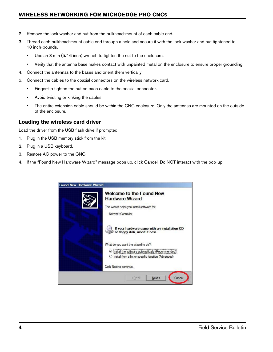## **WIRELESS NETWORKING FOR MICROEDGE PRO CNCS**

- 2. Remove the lock washer and nut from the bulkhead-mount of each cable end.
- 3. Thread each bulkhead-mount cable end through a hole and secure it with the lock washer and nut tightened to 10 inch-pounds.
	- Use an 8 mm (5/16 inch) wrench to tighten the nut to the enclosure.
	- Verify that the antenna base makes contact with unpainted metal on the enclosure to ensure proper grounding.
- 4. Connect the antennas to the bases and orient them vertically.
- 5. Connect the cables to the coaxial connectors on the wireless network card.
	- Finger-tip tighten the nut on each cable to the coaxial connector.
	- Avoid twisting or kinking the cables.
	- The entire extension cable should be within the CNC enclosure. Only the antennas are mounted on the outside of the enclosure.

## **Loading the wireless card driver**

Load the driver from the USB flash drive if prompted.

- 1. Plug in the USB memory stick from the kit.
- 2. Plug in a USB keyboard.
- 3. Restore AC power to the CNC.
- 4. If the "Found New Hardware Wizard" message pops up, click Cancel. Do NOT interact with the pop-up.

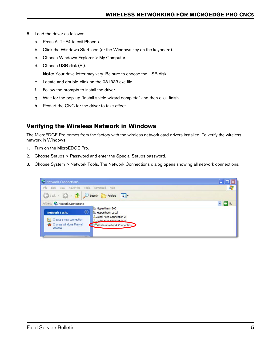- 5. Load the driver as follows:
	- a. Press ALT+F4 to exit Phoenix.
	- b. Click the Windows Start icon (or the Windows key on the keyboard).
	- c. Choose Windows Explorer > My Computer.
	- d. Choose USB disk (E:).

**Note:** Your drive letter may vary. Be sure to choose the USB disk.

- e. Locate and double-click on the 081333.exe file.
- f. Follow the prompts to install the driver.
- g. Wait for the pop-up "Install shield wizard complete" and then click finish.
- h. Restart the CNC for the driver to take effect.

# **Verifying the Wireless Network in Windows**

The MicroEDGE Pro comes from the factory with the wireless network card drivers installed. To verify the wireless network in Windows:

- 1. Turn on the MicroEDGE Pro.
- 2. Choose Setups > Password and enter the Special Setups password.
- 3. Choose System > Network Tools. The Network Connections dialog opens showing all network connections.

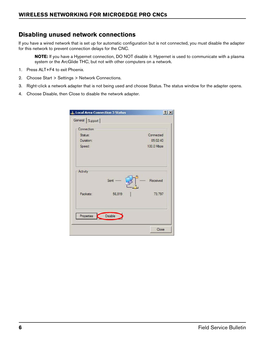# **Disabling unused network connections**

If you have a wired network that is set up for automatic configuration but is not connected, you must disable the adapter for this network to prevent connection delays for the CNC.

**NOTE:** If you have a Hypernet connection, DO NOT disable it. Hypernet is used to communicate with a plasma system or the ArcGlide THC, but not with other computers on a network.

- 1. Press ALT+F4 to exit Phoenix.
- 2. Choose Start > Settings > Network Connections.
- 3. Right-click a network adapter that is not being used and choose Status. The status window for the adapter opens.
- 4. Choose Disable, then Close to disable the network adapter.

| Status:<br>Duration:<br>Speed: |                | Connected<br>05:02:40<br>100.0 Mbps |
|--------------------------------|----------------|-------------------------------------|
| Activity<br>Packets:           | Sent<br>56,819 | Received<br>73,797                  |
|                                |                |                                     |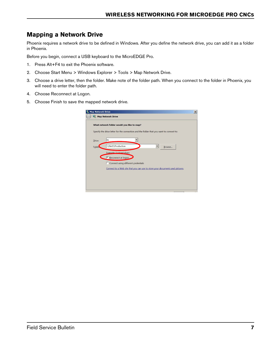# **Mapping a Network Drive**

Phoenix requires a network drive to be defined in Windows. After you define the network drive, you can add it as a folder in Phoenix.

Before you begin, connect a USB keyboard to the MicroEDGE Pro.

- 1. Press Alt+F4 to exit the Phoenix software.
- 2. Choose Start Menu > Windows Explorer > Tools > Map Network Drive.
- 3. Choose a drive letter, then the folder. Make note of the folder path. When you connect to the folder in Phoenix, you will need to enter the folder path.
- 4. Choose Reconnect at Logon.
- 5. Choose Finish to save the mapped network drive.

|              | What network folder would you like to map?                                              |
|--------------|-----------------------------------------------------------------------------------------|
|              | Specify the drive letter for the connection and the folder that you want to connect to: |
|              | N:                                                                                      |
| Drive:       |                                                                                         |
| <b>Folde</b> | \\Net1\Production<br>Browse                                                             |
|              | Example: Wserver\share                                                                  |
|              | Reconnect at logon                                                                      |
|              | □ Connect using different credentials                                                   |
|              | Connect to a Web site that you can use to store your documents and pictures.            |
|              |                                                                                         |
|              |                                                                                         |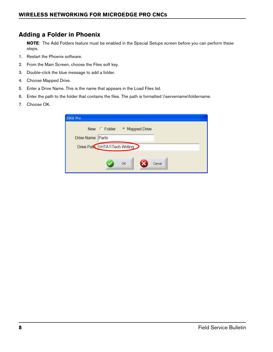# **Adding a Folder in Phoenix**

**NOTE**: The Add Folders feature must be enabled in the Special Setups screen before you can perform these steps.

- 1. Restart the Phoenix software.
- 2. From the Main Screen, choose the Files soft key.
- 3. Double-click the blue message to add a folder.
- 4. Choose Mapped Drive.
- 5. Enter a Drive Name. This is the name that appears in the Load Files list.
- 6. Enter the path to the folder that contains the files. The path is formatted \\servername\foldername.
- 7. Choose OK.

|                  | New Folder Mapped Drive        |  |
|------------------|--------------------------------|--|
| Drive Name Parts |                                |  |
|                  | Drive Patt IIHTA1\Tech Writing |  |
|                  | OK<br>Cancel                   |  |